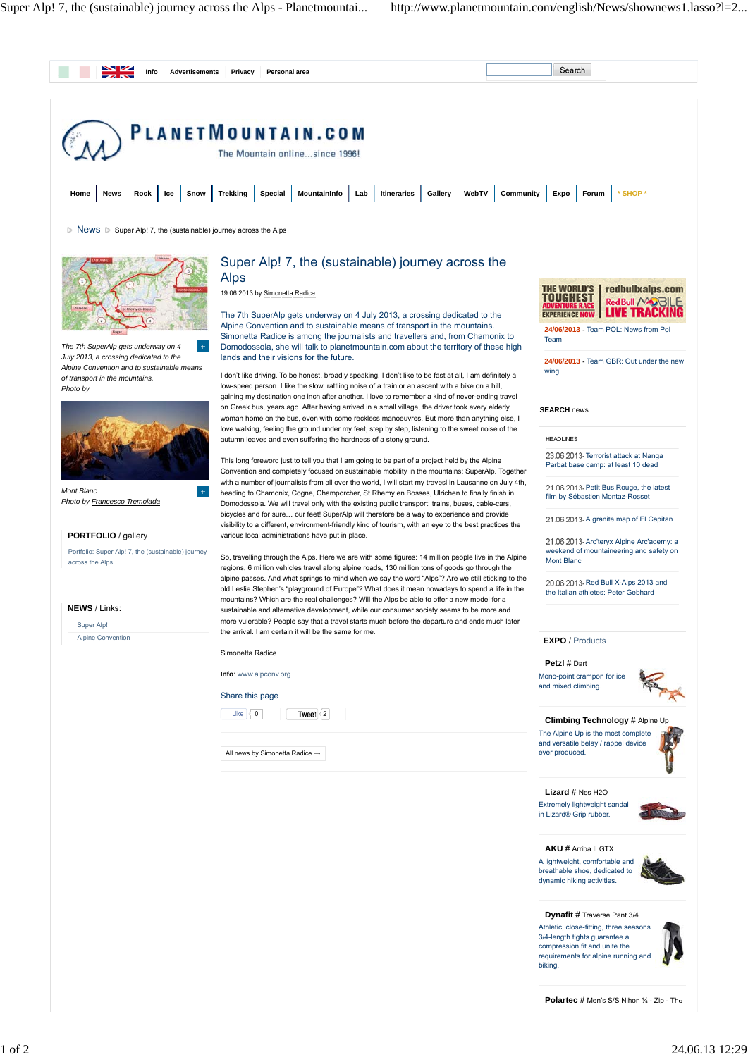